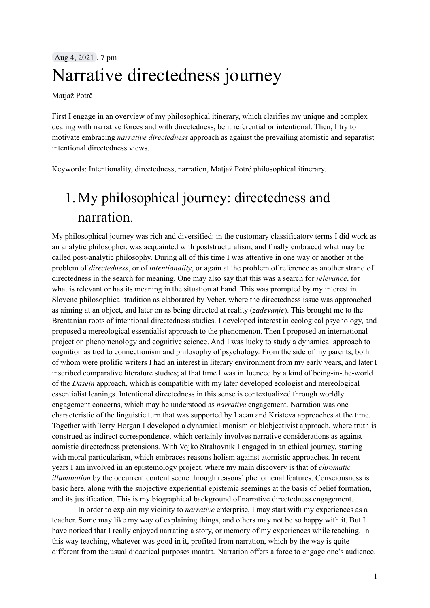## Aug 4, 2021 , 7 pm Narrative directedness journey

Matjaž Potrč

First I engage in an overview of my philosophical itinerary, which clarifies my unique and complex dealing with narrative forces and with directedness, be it referential or intentional. Then, I try to motivate embracing *narrative directedness* approach as against the prevailing atomistic and separatist intentional directedness views.

Keywords: Intentionality, directedness, narration, Matjaž Potrč philosophical itinerary.

# 1. My philosophical journey: directedness and narration.

My philosophical journey was rich and diversified: in the customary classificatory terms I did work as an analytic philosopher, was acquainted with poststructuralism, and finally embraced what may be called post-analytic philosophy. During all of this time I was attentive in one way or another at the problem of *directedness*, or of *intentionality*, or again at the problem of reference as another strand of directedness in the search for meaning. One may also say that this was a search for *relevance*, for what is relevant or has its meaning in the situation at hand. This was prompted by my interest in Slovene philosophical tradition as elaborated by Veber, where the directedness issue was approached as aiming at an object, and later on as being directed at reality (*zadevanje*). This brought me to the Brentanian roots of intentional directedness studies. I developed interest in ecological psychology, and proposed a mereological essentialist approach to the phenomenon. Then I proposed an international project on phenomenology and cognitive science. And I was lucky to study a dynamical approach to cognition as tied to connectionism and philosophy of psychology. From the side of my parents, both of whom were prolific writers I had an interest in literary environment from my early years, and later I inscribed comparative literature studies; at that time I was influenced by a kind of being-in-the-world of the *Dasein* approach, which is compatible with my later developed ecologist and mereological essentialist leanings. Intentional directedness in this sense is contextualized through worldly engagement concerns, which may be understood as *narrative* engagement. Narration was one characteristic of the linguistic turn that was supported by Lacan and Kristeva approaches at the time. Together with Terry Horgan I developed a dynamical monism or blobjectivist approach, where truth is construed as indirect correspondence, which certainly involves narrative considerations as against aomistic directedness pretensions. With Vojko Strahovnik I engaged in an ethical journey, starting with moral particularism, which embraces reasons holism against atomistic approaches. In recent years I am involved in an epistemology project, where my main discovery is that of *chromatic illumination* by the occurrent content scene through reasons' phenomenal features. Consciousness is basic here, along with the subjective experiential epistemic seemings at the basis of belief formation, and its justification. This is my biographical background of narrative directedness engagement.

In order to explain my vicinity to *narrative* enterprise, I may start with my experiences as a teacher. Some may like my way of explaining things, and others may not be so happy with it. But I have noticed that I really enjoyed narrating a story, or memory of my experiences while teaching. In this way teaching, whatever was good in it, profited from narration, which by the way is quite different from the usual didactical purposes mantra. Narration offers a force to engage one's audience.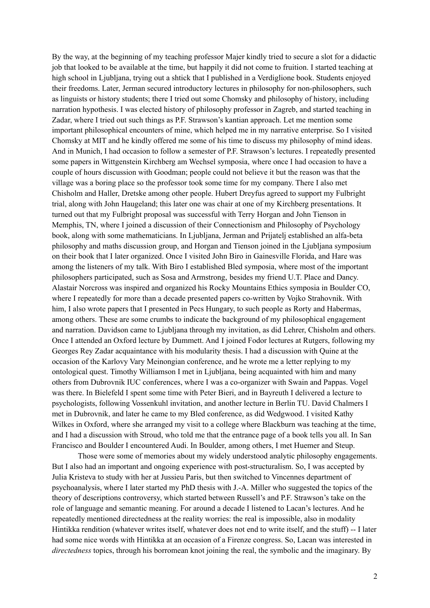By the way, at the beginning of my teaching professor Majer kindly tried to secure a slot for a didactic job that looked to be available at the time, but happily it did not come to fruition. I started teaching at high school in Ljubljana, trying out a shtick that I published in a Verdiglione book. Students enjoyed their freedoms. Later, Jerman secured introductory lectures in philosophy for non-philosophers, such as linguists or history students; there I tried out some Chomsky and philosophy of history, including narration hypothesis. I was elected history of philosophy professor in Zagreb, and started teaching in Zadar, where I tried out such things as P.F. Strawson's kantian approach. Let me mention some important philosophical encounters of mine, which helped me in my narrative enterprise. So I visited Chomsky at MIT and he kindly offered me some of his time to discuss my philosophy of mind ideas. And in Munich, I had occasion to follow a semester of P.F. Strawson's lectures. I repeatedly presented some papers in Wittgenstein Kirchberg am Wechsel symposia, where once I had occasion to have a couple of hours discussion with Goodman; people could not believe it but the reason was that the village was a boring place so the professor took some time for my company. There I also met Chisholm and Haller, Dretske among other people. Hubert Dreyfus agreed to support my Fulbright trial, along with John Haugeland; this later one was chair at one of my Kirchberg presentations. It turned out that my Fulbright proposal was successful with Terry Horgan and John Tienson in Memphis, TN, where I joined a discussion of their Connectionism and Philosophy of Psychology book, along with some mathematicians. In Ljubljana, Jerman and Prijatelj established an alfa-beta philosophy and maths discussion group, and Horgan and Tienson joined in the Ljubljana symposium on their book that I later organized. Once I visited John Biro in Gainesville Florida, and Hare was among the listeners of my talk. With Biro I established Bled symposia, where most of the important philosophers participated, such as Sosa and Armstrong, besides my friend U.T. Place and Dancy. Alastair Norcross was inspired and organized his Rocky Mountains Ethics symposia in Boulder CO, where I repeatedly for more than a decade presented papers co-written by Vojko Strahovnik. With him, I also wrote papers that I presented in Pecs Hungary, to such people as Rorty and Habermas, among others. These are some crumbs to indicate the background of my philosophical engagement and narration. Davidson came to Ljubljana through my invitation, as did Lehrer, Chisholm and others. Once I attended an Oxford lecture by Dummett. And I joined Fodor lectures at Rutgers, following my Georges Rey Zadar acquaintance with his modularity thesis. I had a discussion with Quine at the occasion of the Karlovy Vary Meinongian conference, and he wrote me a letter replying to my ontological quest. Timothy Williamson I met in Ljubljana, being acquainted with him and many others from Dubrovnik IUC conferences, where I was a co-organizer with Swain and Pappas. Vogel was there. In Bielefeld I spent some time with Peter Bieri, and in Bayreuth I delivered a lecture to psychologists, following Vossenkuhl invitation, and another lecture in Berlin TU. David Chalmers I met in Dubrovnik, and later he came to my Bled conference, as did Wedgwood. I visited Kathy Wilkes in Oxford, where she arranged my visit to a college where Blackburn was teaching at the time, and I had a discussion with Stroud, who told me that the entrance page of a book tells you all. In San Francisco and Boulder I encountered Audi. In Boulder, among others, I met Huemer and Steup.

Those were some of memories about my widely understood analytic philosophy engagements. But I also had an important and ongoing experience with post-structuralism. So, I was accepted by Julia Kristeva to study with her at Jussieu Paris, but then switched to Vincennes department of psychoanalysis, where I later started my PhD thesis with J.-A. Miller who suggested the topics of the theory of descriptions controversy, which started between Russell's and P.F. Strawson's take on the role of language and semantic meaning. For around a decade I listened to Lacan's lectures. And he repeatedly mentioned directedness at the reality worries: the real is impossible, also in modality Hintikka rendition (whatever writes itself, whatever does not end to write itself, and the stuff) -- I later had some nice words with Hintikka at an occasion of a Firenze congress. So, Lacan was interested in *directedness* topics, through his borromean knot joining the real, the symbolic and the imaginary. By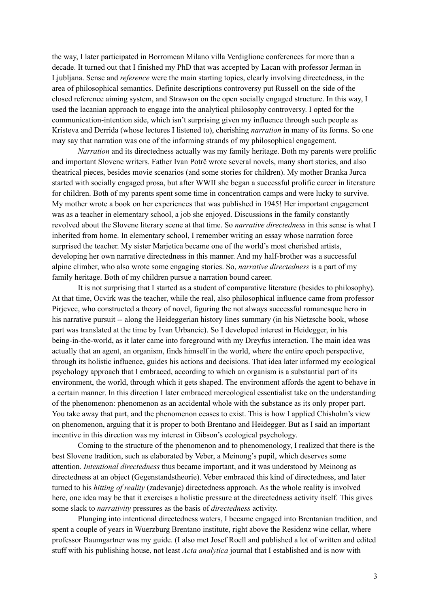the way, I later participated in Borromean Milano villa Verdiglione conferences for more than a decade. It turned out that I finished my PhD that was accepted by Lacan with professor Jerman in Ljubljana. Sense and *reference* were the main starting topics, clearly involving directedness, in the area of philosophical semantics. Definite descriptions controversy put Russell on the side of the closed reference aiming system, and Strawson on the open socially engaged structure. In this way, I used the lacanian approach to engage into the analytical philosophy controversy. I opted for the communication-intention side, which isn't surprising given my influence through such people as Kristeva and Derrida (whose lectures I listened to), cherishing *narration* in many of its forms. So one may say that narration was one of the informing strands of my philosophical engagement.

*Narration* and its directedness actually was my family heritage. Both my parents were prolific and important Slovene writers. Father Ivan Potrč wrote several novels, many short stories, and also theatrical pieces, besides movie scenarios (and some stories for children). My mother Branka Jurca started with socially engaged prosa, but after WWII she began a successful prolific career in literature for children. Both of my parents spent some time in concentration camps and were lucky to survive. My mother wrote a book on her experiences that was published in 1945! Her important engagement was as a teacher in elementary school, a job she enjoyed. Discussions in the family constantly revolved about the Slovene literary scene at that time. So *narrative directedness* in this sense is what I inherited from home. In elementary school, I remember writing an essay whose narration force surprised the teacher. My sister Marjetica became one of the world's most cherished artists, developing her own narrative directedness in this manner. And my half-brother was a successful alpine climber, who also wrote some engaging stories. So, *narrative directedness* is a part of my family heritage. Both of my children pursue a narration bound career.

It is not surprising that I started as a student of comparative literature (besides to philosophy). At that time, Ocvirk was the teacher, while the real, also philosophical influence came from professor Pirjevec, who constructed a theory of novel, figuring the not always successful romanesque hero in his narrative pursuit -- along the Heideggerian history lines summary (in his Nietzsche book, whose part was translated at the time by Ivan Urbancic). So I developed interest in Heidegger, in his being-in-the-world, as it later came into foreground with my Dreyfus interaction. The main idea was actually that an agent, an organism, finds himself in the world, where the entire epoch perspective, through its holistic influence, guides his actions and decisions. That idea later informed my ecological psychology approach that I embraced, according to which an organism is a substantial part of its environment, the world, through which it gets shaped. The environment affords the agent to behave in a certain manner. In this direction I later embraced mereological essentialist take on the understanding of the phenomenon: phenomenon as an accidental whole with the substance as its only proper part. You take away that part, and the phenomenon ceases to exist. This is how I applied Chisholm's view on phenomenon, arguing that it is proper to both Brentano and Heidegger. But as I said an important incentive in this direction was my interest in Gibson's ecological psychology.

Coming to the structure of the phenomenon and to phenomenology, I realized that there is the best Slovene tradition, such as elaborated by Veber, a Meinong's pupil, which deserves some attention. *Intentional directedness* thus became important, and it was understood by Meinong as directedness at an object (Gegenstandstheorie). Veber embraced this kind of directedness, and later turned to his *hitting of reality* (zadevanje) directedness approach. As the whole reality is involved here, one idea may be that it exercises a holistic pressure at the directedness activity itself. This gives some slack to *narrativity* pressures as the basis of *directedness* activity.

Plunging into intentional directedness waters, I became engaged into Brentanian tradition, and spent a couple of years in Wuerzburg Brentano institute, right above the Residenz wine cellar, where professor Baumgartner was my guide. (I also met Josef Roell and published a lot of written and edited stuff with his publishing house, not least *Acta analytica* journal that I established and is now with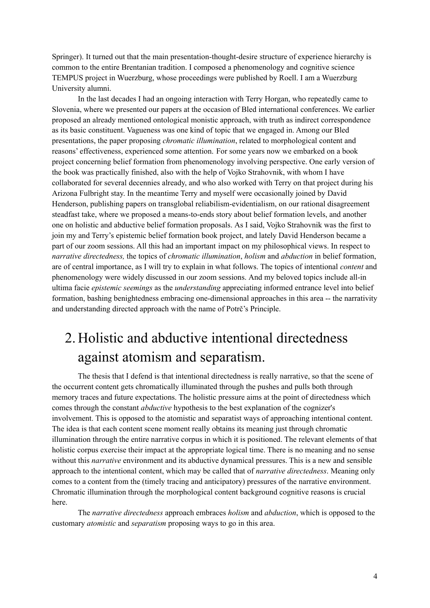Springer). It turned out that the main presentation-thought-desire structure of experience hierarchy is common to the entire Brentanian tradition. I composed a phenomenology and cognitive science TEMPUS project in Wuerzburg, whose proceedings were published by Roell. I am a Wuerzburg University alumni.

In the last decades I had an ongoing interaction with Terry Horgan, who repeatedly came to Slovenia, where we presented our papers at the occasion of Bled international conferences. We earlier proposed an already mentioned ontological monistic approach, with truth as indirect correspondence as its basic constituent. Vagueness was one kind of topic that we engaged in. Among our Bled presentations, the paper proposing *chromatic illumination*, related to morphological content and reasons' effectiveness, experienced some attention. For some years now we embarked on a book project concerning belief formation from phenomenology involving perspective. One early version of the book was practically finished, also with the help of Vojko Strahovnik, with whom I have collaborated for several decennies already, and who also worked with Terry on that project during his Arizona Fulbright stay. In the meantime Terry and myself were occasionally joined by David Henderson, publishing papers on transglobal reliabilism-evidentialism, on our rational disagreement steadfast take, where we proposed a means-to-ends story about belief formation levels, and another one on holistic and abductive belief formation proposals. As I said, Vojko Strahovnik was the first to join my and Terry's epistemic belief formation book project, and lately David Henderson became a part of our zoom sessions. All this had an important impact on my philosophical views. In respect to *narrative directedness,* the topics of *chromatic illumination*, *holism* and *abduction* in belief formation, are of central importance, as I will try to explain in what follows. The topics of intentional *content* and phenomenology were widely discussed in our zoom sessions. And my beloved topics include all-in ultima facie *epistemic seemings* as the *understanding* appreciating informed entrance level into belief formation, bashing benightedness embracing one-dimensional approaches in this area -- the narrativity and understanding directed approach with the name of Potrč's Principle.

## 2. Holistic and abductive intentional directedness against atomism and separatism.

The thesis that I defend is that intentional directedness is really narrative, so that the scene of the occurrent content gets chromatically illuminated through the pushes and pulls both through memory traces and future expectations. The holistic pressure aims at the point of directedness which comes through the constant *abductive* hypothesis to the best explanation of the cognizer's involvement. This is opposed to the atomistic and separatist ways of approaching intentional content. The idea is that each content scene moment really obtains its meaning just through chromatic illumination through the entire narrative corpus in which it is positioned. The relevant elements of that holistic corpus exercise their impact at the appropriate logical time. There is no meaning and no sense without this *narrative* environment and its abductive dynamical pressures. This is a new and sensible approach to the intentional content, which may be called that of *narrative directedness*. Meaning only comes to a content from the (timely tracing and anticipatory) pressures of the narrative environment. Chromatic illumination through the morphological content background cognitive reasons is crucial here.

The *narrative directedness* approach embraces *holism* and *abduction*, which is opposed to the customary *atomistic* and *separatism* proposing ways to go in this area.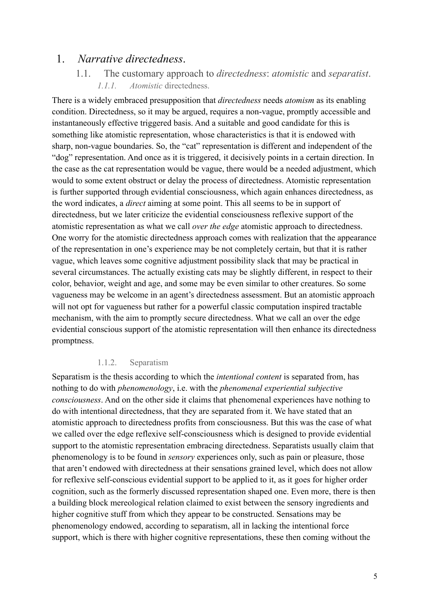### 1. *Narrative directedness*.

1.1. The customary approach to *directedness*: *atomistic* and *separatist*. *1.1.1. Atomistic* directedness.

There is a widely embraced presupposition that *directedness* needs *atomism* as its enabling condition. Directedness, so it may be argued, requires a non-vague, promptly accessible and instantaneously effective triggered basis. And a suitable and good candidate for this is something like atomistic representation, whose characteristics is that it is endowed with sharp, non-vague boundaries. So, the "cat" representation is different and independent of the "dog" representation. And once as it is triggered, it decisively points in a certain direction. In the case as the cat representation would be vague, there would be a needed adjustment, which would to some extent obstruct or delay the process of directedness. Atomistic representation is further supported through evidential consciousness, which again enhances directedness, as the word indicates, a *direct* aiming at some point. This all seems to be in support of directedness, but we later criticize the evidential consciousness reflexive support of the atomistic representation as what we call *over the edge* atomistic approach to directedness. One worry for the atomistic directedness approach comes with realization that the appearance of the representation in one's experience may be not completely certain, but that it is rather vague, which leaves some cognitive adjustment possibility slack that may be practical in several circumstances. The actually existing cats may be slightly different, in respect to their color, behavior, weight and age, and some may be even similar to other creatures. So some vagueness may be welcome in an agent's directedness assessment. But an atomistic approach will not opt for vagueness but rather for a powerful classic computation inspired tractable mechanism, with the aim to promptly secure directedness. What we call an over the edge evidential conscious support of the atomistic representation will then enhance its directedness promptness.

### 1.1.2. Separatism

Separatism is the thesis according to which the *intentional content* is separated from, has nothing to do with *phenomenology*, i.e. with the *phenomenal experiential subjective consciousness*. And on the other side it claims that phenomenal experiences have nothing to do with intentional directedness, that they are separated from it. We have stated that an atomistic approach to directedness profits from consciousness. But this was the case of what we called over the edge reflexive self-consciousness which is designed to provide evidential support to the atomistic representation embracing directedness. Separatists usually claim that phenomenology is to be found in *sensory* experiences only, such as pain or pleasure, those that aren't endowed with directedness at their sensations grained level, which does not allow for reflexive self-conscious evidential support to be applied to it, as it goes for higher order cognition, such as the formerly discussed representation shaped one. Even more, there is then a building block mereological relation claimed to exist between the sensory ingredients and higher cognitive stuff from which they appear to be constructed. Sensations may be phenomenology endowed, according to separatism, all in lacking the intentional force support, which is there with higher cognitive representations, these then coming without the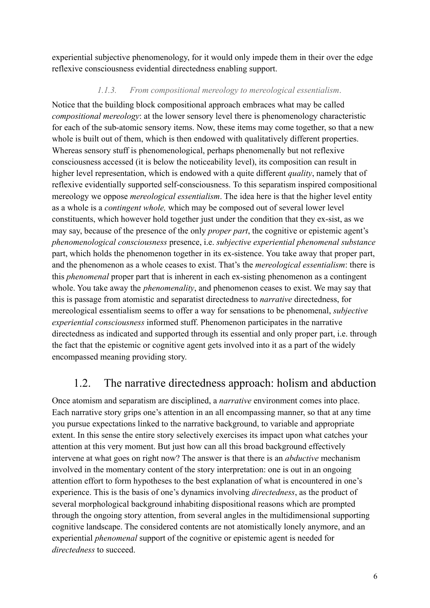experiential subjective phenomenology, for it would only impede them in their over the edge reflexive consciousness evidential directedness enabling support.

### *1.1.3. From compositional mereology to mereological essentialism*.

Notice that the building block compositional approach embraces what may be called *compositional mereology*: at the lower sensory level there is phenomenology characteristic for each of the sub-atomic sensory items. Now, these items may come together, so that a new whole is built out of them, which is then endowed with qualitatively different properties. Whereas sensory stuff is phenomenological, perhaps phenomenally but not reflexive consciousness accessed (it is below the noticeability level), its composition can result in higher level representation, which is endowed with a quite different *quality*, namely that of reflexive evidentially supported self-consciousness. To this separatism inspired compositional mereology we oppose *mereological essentialism*. The idea here is that the higher level entity as a whole is a *contingent whole,* which may be composed out of several lower level constituents, which however hold together just under the condition that they ex-sist, as we may say, because of the presence of the only *proper part*, the cognitive or epistemic agent's *phenomenological consciousness* presence, i.e. *subjective experiential phenomenal substance* part, which holds the phenomenon together in its ex-sistence. You take away that proper part, and the phenomenon as a whole ceases to exist. That's the *mereological essentialism*: there is this *phenomenal* proper part that is inherent in each ex-sisting phenomenon as a contingent whole. You take away the *phenomenality*, and phenomenon ceases to exist. We may say that this is passage from atomistic and separatist directedness to *narrative* directedness, for mereological essentialism seems to offer a way for sensations to be phenomenal, *subjective experiential consciousness* informed stuff. Phenomenon participates in the narrative directedness as indicated and supported through its essential and only proper part, i.e. through the fact that the epistemic or cognitive agent gets involved into it as a part of the widely encompassed meaning providing story.

### 1.2. The narrative directedness approach: holism and abduction

Once atomism and separatism are disciplined, a *narrative* environment comes into place. Each narrative story grips one's attention in an all encompassing manner, so that at any time you pursue expectations linked to the narrative background, to variable and appropriate extent. In this sense the entire story selectively exercises its impact upon what catches your attention at this very moment. But just how can all this broad background effectively intervene at what goes on right now? The answer is that there is an *abductive* mechanism involved in the momentary content of the story interpretation: one is out in an ongoing attention effort to form hypotheses to the best explanation of what is encountered in one's experience. This is the basis of one's dynamics involving *directedness*, as the product of several morphological background inhabiting dispositional reasons which are prompted through the ongoing story attention, from several angles in the multidimensional supporting cognitive landscape. The considered contents are not atomistically lonely anymore, and an experiential *phenomenal* support of the cognitive or epistemic agent is needed for *directedness* to succeed.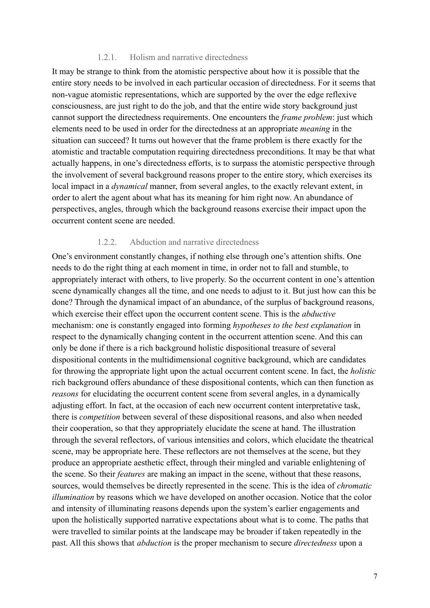#### 1.2.1. Holism and narrative directedness

It may be strange to think from the atomistic perspective about how it is possible that the entire story needs to be involved in each particular occasion of directedness. For it seems that non-vague atomistic representations, which are supported by the over the edge reflexive consciousness, are just right to do the job, and that the entire wide story background just cannot support the directedness requirements. One encounters the *frame problem*: just which elements need to be used in order for the directedness at an appropriate *meaning* in the situation can succeed? It turns out however that the frame problem is there exactly for the atomistic and tractable computation requiring directedness preconditions. It may be that what actually happens, in one's directedness efforts, is to surpass the atomistic perspective through the involvement of several background reasons proper to the entire story, which exercises its local impact in a *dynamical* manner, from several angles, to the exactly relevant extent, in order to alert the agent about what has its meaning for him right now. An abundance of perspectives, angles, through which the background reasons exercise their impact upon the occurrent content scene are needed.

### 1.2.2. Abduction and narrative directedness

One's environment constantly changes, if nothing else through one's attention shifts. One needs to do the right thing at each moment in time, in order not to fall and stumble, to appropriately interact with others, to live properly. So the occurrent content in one's attention scene dynamically changes all the time, and one needs to adjust to it. But just how can this be done? Through the dynamical impact of an abundance, of the surplus of background reasons, which exercise their effect upon the occurrent content scene. This is the *abductive* mechanism: one is constantly engaged into forming *hypotheses to the best explanation* in respect to the dynamically changing content in the occurrent attention scene. And this can only be done if there is a rich background holistic dispositional treasure of several dispositional contents in the multidimensional cognitive background, which are candidates for throwing the appropriate light upon the actual occurrent content scene. In fact, the *holistic* rich background offers abundance of these dispositional contents, which can then function as *reasons* for elucidating the occurrent content scene from several angles, in a dynamically adjusting effort. In fact, at the occasion of each new occurrent content interpretative task, there is *competition* between several of these dispositional reasons, and also when needed their cooperation, so that they appropriately elucidate the scene at hand. The illustration through the several reflectors, of various intensities and colors, which elucidate the theatrical scene, may be appropriate here. These reflectors are not themselves at the scene, but they produce an appropriate aesthetic effect, through their mingled and variable enlightening of the scene. So their *features* are making an impact in the scene, without that these reasons, sources, would themselves be directly represented in the scene. This is the idea of *chromatic illumination* by reasons which we have developed on another occasion. Notice that the color and intensity of illuminating reasons depends upon the system's earlier engagements and upon the holistically supported narrative expectations about what is to come. The paths that were travelled to similar points at the landscape may be broader if taken repeatedly in the past. All this shows that *abduction* is the proper mechanism to secure *directedness* upon a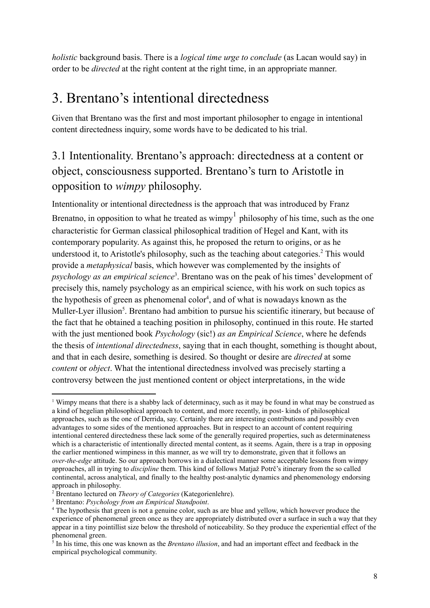*holistic* background basis. There is a *logical time urge to conclude* (as Lacan would say) in order to be *directed* at the right content at the right time, in an appropriate manner.

## 3. Brentano's intentional directedness

Given that Brentano was the first and most important philosopher to engage in intentional content directedness inquiry, some words have to be dedicated to his trial.

## 3.1 Intentionality. Brentano's approach: directedness at a content or object, consciousness supported. Brentano's turn to Aristotle in opposition to *wimpy* philosophy.

Intentionality or intentional directedness is the approach that was introduced by Franz Brenatno, in opposition to what he treated as wimpy<sup>1</sup> philosophy of his time, such as the one characteristic for German classical philosophical tradition of Hegel and Kant, with its contemporary popularity. As against this, he proposed the return to origins, or as he understood it, to Aristotle's philosophy, such as the teaching about categories.<sup>2</sup> This would provide a *metaphysical* basis, which however was complemented by the insights of psychology as an empirical science<sup>3</sup>. Brentano was on the peak of his times' development of precisely this, namely psychology as an empirical science, with his work on such topics as the hypothesis of green as phenomenal  $color<sup>4</sup>$ , and of what is nowadays known as the Muller-Lyer illusion<sup>5</sup>. Brentano had ambition to pursue his scientific itinerary, but because of the fact that he obtained a teaching position in philosophy, continued in this route. He started with the just mentioned book *Psychology* (sic!) *as an Empirical Science*, where he defends the thesis of *intentional directedness*, saying that in each thought, something is thought about, and that in each desire, something is desired. So thought or desire are *directed* at some *content* or *object*. What the intentional directedness involved was precisely starting a controversy between the just mentioned content or object interpretations, in the wide

<sup>&</sup>lt;sup>1</sup> Wimpy means that there is a shabby lack of determinacy, such as it may be found in what may be construed as a kind of hegelian philosophical approach to content, and more recently, in post- kinds of philosophical approaches, such as the one of Derrida, say. Certainly there are interesting contributions and possibly even advantages to some sides of the mentioned approaches. But in respect to an account of content requiring intentional centered directedness these lack some of the generally required properties, such as determinateness which is a characteristic of intentionally directed mental content, as it seems. Again, there is a trap in opposing the earlier mentioned wimpiness in this manner, as we will try to demonstrate, given that it follows an *over-the-edge* attitude. So our approach borrows in a dialectical manner some acceptable lessons from wimpy approaches, all in trying to *discipline* them. This kind of follows Matjaž Potrč's itinerary from the so called continental, across analytical, and finally to the healthy post-analytic dynamics and phenomenology endorsing approach in philosophy.

<sup>2</sup> Brentano lectured on *Theory of Categories* (Kategorienlehre).

<sup>3</sup> Brentano: *Psychology from an Empirical Standpoint*.

<sup>&</sup>lt;sup>4</sup> The hypothesis that green is not a genuine color, such as are blue and yellow, which however produce the experience of phenomenal green once as they are appropriately distributed over a surface in such a way that they appear in a tiny pointillist size below the threshold of noticeability. So they produce the experiential effect of the phenomenal green.

<sup>5</sup> In his time, this one was known as the *Brentano illusion*, and had an important effect and feedback in the empirical psychological community.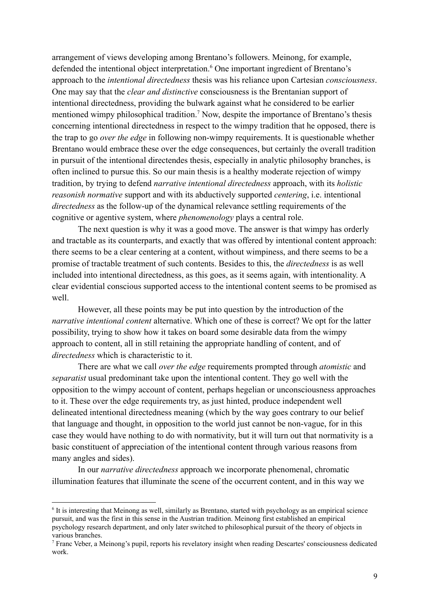arrangement of views developing among Brentano's followers. Meinong, for example, defended the intentional object interpretation.<sup>6</sup> One important ingredient of Brentano's approach to the *intentional directedness* thesis was his reliance upon Cartesian *consciousness*. One may say that the *clear and distinctive* consciousness is the Brentanian support of intentional directedness, providing the bulwark against what he considered to be earlier mentioned wimpy philosophical tradition.<sup>7</sup> Now, despite the importance of Brentano's thesis concerning intentional directedness in respect to the wimpy tradition that he opposed, there is the trap to go *over the edge* in following non-wimpy requirements. It is questionable whether Brentano would embrace these over the edge consequences, but certainly the overall tradition in pursuit of the intentional directendes thesis, especially in analytic philosophy branches, is often inclined to pursue this. So our main thesis is a healthy moderate rejection of wimpy tradition, by trying to defend *narrative intentional directedness* approach, with its *holistic reasonish normative* support and with its abductively supported *centering*, i.e. intentional *directedness* as the follow-up of the dynamical relevance settling requirements of the cognitive or agentive system, where *phenomenology* plays a central role.

The next question is why it was a good move. The answer is that wimpy has orderly and tractable as its counterparts, and exactly that was offered by intentional content approach: there seems to be a clear centering at a content, without wimpiness, and there seems to be a promise of tractable treatment of such contents. Besides to this, the *directedness* is as well included into intentional directedness, as this goes, as it seems again, with intentionality. A clear evidential conscious supported access to the intentional content seems to be promised as well.

However, all these points may be put into question by the introduction of the *narrative intentional content* alternative. Which one of these is correct? We opt for the latter possibility, trying to show how it takes on board some desirable data from the wimpy approach to content, all in still retaining the appropriate handling of content, and of *directedness* which is characteristic to it.

There are what we call *over the edge* requirements prompted through *atomistic* and *separatist* usual predominant take upon the intentional content. They go well with the opposition to the wimpy account of content, perhaps hegelian or unconsciousness approaches to it. These over the edge requirements try, as just hinted, produce independent well delineated intentional directedness meaning (which by the way goes contrary to our belief that language and thought, in opposition to the world just cannot be non-vague, for in this case they would have nothing to do with normativity, but it will turn out that normativity is a basic constituent of appreciation of the intentional content through various reasons from many angles and sides).

In our *narrative directedness* approach we incorporate phenomenal, chromatic illumination features that illuminate the scene of the occurrent content, and in this way we

<sup>&</sup>lt;sup>6</sup> It is interesting that Meinong as well, similarly as Brentano, started with psychology as an empirical science pursuit, and was the first in this sense in the Austrian tradition. Meinong first established an empirical psychology research department, and only later switched to philosophical pursuit of the theory of objects in various branches.

<sup>7</sup> Franc Veber, a Meinong's pupil, reports his revelatory insight when reading Descartes' consciousness dedicated work.